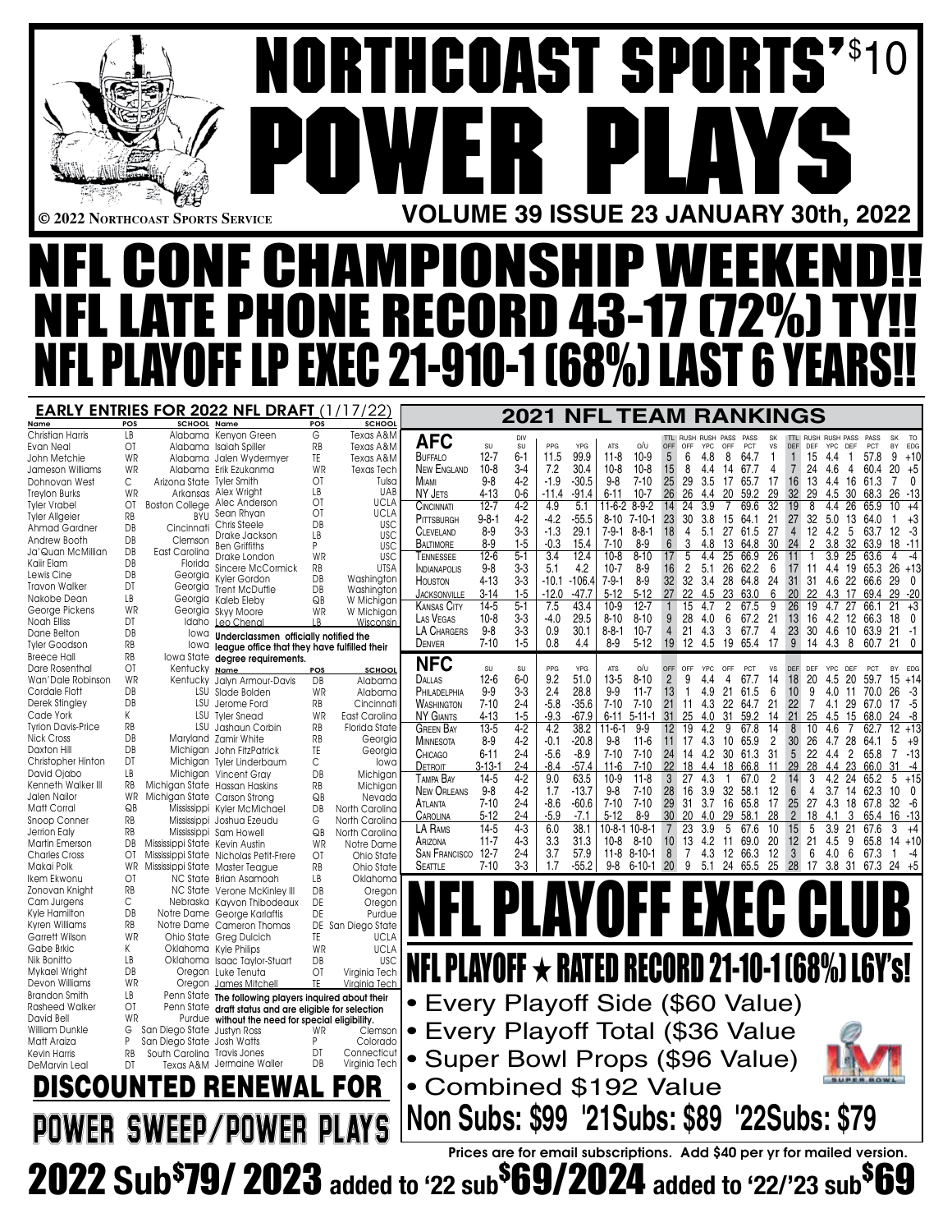\$ 10 **NORTHCOAST SPORTS'** ē **POWER PLAYS** B **© 2022 Northcoast Sports Service VOLUME 39 ISSUE 23 JANUARY 30th, 2022** NFL CONF CHAMPIONSHIP WEEKEND!! NFL LATE PHONE RECORD 43-17 (72%) TY!! NFL PLAYOFF LP EXEC 21-910-1 (68%) LAST 6 YEARS!! **EARLY ENTRIES FOR 2022 NFL DRAFT (1/17/22)** [ **2021 NFL TEAM RANKINGS** <u>Name POS</u><br>Christian Harris LB

DeMarvin Leal

| SCHOOL                         | Name                                         | <b>POS</b> | <b>SCHOOL</b>     |  |
|--------------------------------|----------------------------------------------|------------|-------------------|--|
| Alabama                        | Kenyon Green                                 | G          | Texas A&M         |  |
| Alabama                        | <b>Isaiah Spiller</b>                        | RB         | Texas A&M         |  |
| Alabama                        | Jalen Wydermyer                              | TE         | Texas A&M         |  |
| Alabama                        | Erik Ezukanma                                | WR         | <b>Texas Tech</b> |  |
| Arizona State                  | <b>Tyler Smith</b>                           | ΟT         | Tulsa             |  |
| Arkansas                       | Alex Wright                                  | LВ         | UAB               |  |
| <b>Boston College</b>          | Alec Anderson                                | OT         | UCLA              |  |
| <b>BYU</b>                     | Sean Rhyan                                   | OT         | <b>UCLA</b>       |  |
| Cincinnati                     | Chris Steele                                 | DB         | <b>USC</b>        |  |
| Clemson                        | Drake Jackson                                | LВ         | USC               |  |
| East Carolina                  | <b>Ben Griffiths</b>                         | P          | <b>USC</b>        |  |
| Florida                        | Drake London                                 | WR         | <b>USC</b>        |  |
|                                | Sincere McCormick                            | RB         | <b>UTSA</b>       |  |
| Georgia                        | Kyler Gordon                                 | DB         | Washington        |  |
| Georgia                        | <b>Trent McDuffie</b>                        | DB         | Washington        |  |
| Georgia                        | Kaleb Eleby                                  | QB         | W Michigan        |  |
| Georgia                        | Skyy Moore                                   | WR         | W Michigan        |  |
| Idaho                          | Leo Chenal                                   | LB.        | Wisconsin         |  |
| lowa                           | Underclassmen officially notified the        |            |                   |  |
| lowa                           | league office that they have fulfilled their |            |                   |  |
| Iowa State                     | degree requirements.                         |            |                   |  |
| Kentucky                       | Name                                         | <u>POS</u> | <b>SCHOOL</b>     |  |
| Kentuckv                       | Jalyn Armour-Davis                           | DB         | Alabama           |  |
| LSU                            | Slade Bolden                                 | WR         | Alabama           |  |
| LSU                            | Jerome Ford                                  | RB         | Cincinnati        |  |
| LSU                            | <b>Tyler Snead</b>                           | WR         | East Carolina     |  |
| LSU                            | Jashaun Corbin                               | RB         | Florida State     |  |
|                                | Maryland Zamir White                         | RB         | Georgia           |  |
|                                | Michigan John FitzPatrick                    | TE         | Georgia           |  |
|                                | Michigan Tyler Linderbaum                    | С          | lowa              |  |
|                                | Michigan Vincent Gray                        | DB         | Michigan          |  |
| Michigan State Hassan Haskins  |                                              | RB         |                   |  |
| Michigan State                 |                                              | QB         | Michigan          |  |
| Mississippi                    | Carson Strong                                |            | Nevada            |  |
|                                | Kyler McMichael                              | DB         | North Carolina    |  |
| Mississippi                    | Joshua Ezeudu                                | G          | North Carolina    |  |
|                                | Mississippi Sam Howell                       | QB         | North Carolina    |  |
| Mississippi State Kevin Austin |                                              | WR         | Notre Dame        |  |
| Mississippi State              | Nicholas Petit-Frere                         | ОT         | Ohio State        |  |
| Mississippi State              | Master Teague                                | RB         | Ohio State        |  |
| <b>NC State</b>                | <b>Brian Asamoah</b>                         | LВ         | Oklahoma          |  |
| NC State                       | Verone McKinley III                          | DB         | Oregon            |  |
| Nebraska                       | Kayvon Thibodeaux                            | DE         | Oregon            |  |
| Notre Dame                     | George Karlaftis                             | DE         | Purdue            |  |
| Notre Dame                     | Cameron Thomas                               | DE         | San Diego State   |  |
| Ohio State                     | Greg Dulcich                                 | TE         | <b>UCLA</b>       |  |
| Oklahoma                       | <b>Kyle Philips</b>                          | WR         | <b>UCLA</b>       |  |
| Oklahoma                       | <b>Isaac Taylor-Stuart</b>                   | DB         | <b>USC</b>        |  |
| Oregon                         | Luke Tenuta                                  | ΟT         | Virginia Tech     |  |
| Oregon                         | James Mitchell                               | TF         | Virainia Tech     |  |
| Penn State                     | The following players inquired about their   |            |                   |  |
| Penn State                     | draft status and are eligible for selection  |            |                   |  |
| Purdue                         | without the need for special eligibility.    |            |                   |  |
| San Diego State                | Justyn Ross                                  | WR         | Clemson           |  |
| San Diego State                | <b>Josh Watts</b>                            | P          | Colorado          |  |
| South Carolina                 | <b>Travis Jones</b>                          | DT         | Connecticut       |  |
| Texas A&M                      | Jermaine Waller                              | DB         | Virginia Tech     |  |
|                                |                                              |            |                   |  |
| D RI                           | ENEWAL FOI                                   |            |                   |  |
|                                |                                              |            |                   |  |
|                                |                                              |            |                   |  |

| Christian Harris     | LB.       |                                | Alabama Kenyon Green                                                                             | G              | Texas A&M            |                                                       |               |           |         |                                                                         |              |               |                 |                                        |              |                |                 |                      |                                            |                |                      |                                                        |
|----------------------|-----------|--------------------------------|--------------------------------------------------------------------------------------------------|----------------|----------------------|-------------------------------------------------------|---------------|-----------|---------|-------------------------------------------------------------------------|--------------|---------------|-----------------|----------------------------------------|--------------|----------------|-----------------|----------------------|--------------------------------------------|----------------|----------------------|--------------------------------------------------------|
| Evan Neal            | ΟĪ        |                                | Alabama Isaiah Spiller                                                                           | RB             | Texas A&M            | <b>AFC</b>                                            | SU            | DIV<br>SU | PPG     | <b>YPG</b>                                                              | <b>ATS</b>   | o/v           | OFF             | TTI RUSH RUSH PASS PASS<br>OFF<br>YPC. | OFF          | <b>PCT</b>     | SK<br><b>VS</b> |                      | TTI RUSH RUSH PASS PASS<br>DEF DEF YPC DEF |                | <b>PCT</b>           | SK<br>TQ<br>EDG<br><b>BY</b>                           |
| John Metchie         | WR        |                                | Alabama Jalen Wydermyer                                                                          | TE             | Texas A&M            | BUFFALO                                               | 12-7          | $6 - 1$   | 11.5    | 99.9                                                                    | $11-8$       | 10-9          | 5               | 6<br>4.8                               | - 8          | 64.7           | 1.              | 1                    | 15 4.4 1                                   |                | 57.8                 | $9 + 10$                                               |
| Jameson Williams     | <b>WR</b> |                                | Alabama Erik Ezukanma                                                                            | <b>WR</b>      | Texas Tech           | NEW ENGLAND                                           | $10-8$        | $3-4$     | 7.2     | 30.4                                                                    | $10-8$       | $10-8$        | 15              | 8<br>4.4                               |              | 14 67.7        | 4               | $\overline{7}$       |                                            |                |                      | 24 4.6 4 60.4 20 +5                                    |
| Dohnovan West        | C         | Arizona State Tyler Smith      |                                                                                                  | OT             | Tulsa                |                                                       |               | $4 - 2$   |         |                                                                         | 98           | 7-10          |                 | -29                                    |              |                | -17             |                      |                                            |                |                      | 70                                                     |
|                      | <b>WR</b> |                                | Arkansas Alex Wright                                                                             | LB             | UAB                  | MIAMI                                                 | $9-8$         |           | $-1.9$  | $-30.5$                                                                 |              |               | 25              | 3.5                                    |              | 17 65.7        |                 |                      | 16 13 4.4 16 61.3                          |                |                      |                                                        |
| Treylon Burks        |           |                                |                                                                                                  | ΟĪ             | <b>UCLA</b>          | NY JETS                                               | $4 - 13$      | $0-6$     | $-11.4$ | $-91.4$                                                                 | 6-11         | $10-7$        | 26              | 26<br>4.4                              | 20           | 59.2           | 29              | 32<br>29             |                                            |                |                      | 4.5 30 68.3 26 -13                                     |
| Tyler Vrabel         | OT        |                                | Boston College Alec Anderson                                                                     | OT             | <b>UCLA</b>          | <b>CINCINNATI</b>                                     | $12 - 7$      | $4 - 2$   | 4.9     | 5.1                                                                     | 11-6-2 8-9-2 |               | 14 24           | 3.9                                    | 7            | 69.6           | 32              | 19<br>8              |                                            | 4.4 26 65.9    |                      | 10 <sup>°</sup><br>+4                                  |
| Tyler Allgeier       | <b>RB</b> |                                | BYU Sean Rhyan<br>Chris Steele                                                                   | DB             | <b>USC</b>           | PITTSBURGH                                            | $9 - 8 - 1$   | $4-2$     | $-4.2$  | $-55.5$                                                                 |              | 8-10 7-10-1   | 23              | 30<br>3.8                              | 15           | 64.1           | 21              | 27                   | 32 5.0 13 64.0                             |                |                      | +3<br>-1                                               |
| Ahmad Gardner        | DB        | Cincinnati                     | Drake Jackson                                                                                    | LB             | <b>USC</b>           | <b>CLEVELAND</b>                                      | $8 - 9$       | $3 - 3$   | $-1.3$  | 29.1                                                                    | 7-9-1 8-8-1  |               | 18              | 4<br>5.1                               | 27           | 61.5           | 27              | $\overline{4}$       | 12 4.2 5 63.7                              |                |                      | $12 - 3$                                               |
| Andrew Booth         | DB        | Clemson                        | <b>Ben Griffiths</b>                                                                             | P              | <b>USC</b>           | <b>BALTIMORE</b>                                      | $8 - 9$       | $1 - 5$   | $-0.3$  | 15.4                                                                    | $7 - 10$     | $8-9$         | 6               | 3<br>4.8                               |              | 13 64.8 30     |                 | 24                   | $\overline{2}$                             |                |                      | 3.8 32 63.9 18 -11                                     |
| Ja'Quan McMillian    | DB.       | East Carolina                  | Drake London                                                                                     | WR             | <b>USC</b>           | TENNESSEE                                             | $12 - 6$      | $5-1$     | 3.4     | 12.4                                                                    | 10-8         | $8 - 10$      | 17              | 5<br>4.4                               | 25           | 66.9           | $\overline{26}$ | 11                   | 1                                          | 3.9 25 63.6    |                      | 4<br>$-4$                                              |
| Kaiir Elam           | DB        | Florida                        | Sincere McCormick                                                                                | RB             | <b>UTSA</b>          | <b>INDIANAPOLIS</b>                                   | $9-8$         | $3-3$     | 5.1     | 4.2                                                                     | $10-7$       | 8-9           | 16              | $\overline{2}$<br>5.1                  |              | 26 62.2        | 6               | 17                   |                                            |                |                      | 11 4.4 19 65.3 26 +13                                  |
| Lewis Cine           | DB        |                                | Georgia Kyler Gordon                                                                             | DB             | Washington           |                                                       |               |           |         |                                                                         |              |               |                 |                                        |              |                |                 |                      |                                            |                |                      |                                                        |
| Travon Walker        | DT        | Georgia                        | <b>Trent McDuffie</b>                                                                            | DB             | Washington           | HOUSTON                                               | $4 - 13$      | $3-3$     |         | $-10.1 - 106.4$                                                         | $7 - 9 - 1$  | 8-9           | 32 <sup>°</sup> | -32                                    |              | 3.4 28 64.8 24 |                 |                      |                                            |                | 31 31 4.6 22 66.6 29 | - 0                                                    |
| Nakobe Dean          | LB.       |                                | Georgia Kaleb Eleby                                                                              | QB             | W Michigan           | <b>JACKSONVILLE</b>                                   | $3 - 14$      | $1-5$     | $-12.0$ | $-47.7$                                                                 | $5 - 12$     | $5 - 12$      | 27              | 22<br>4.5                              | -23          | 63.0           | 6               | <b>20</b><br>-22     |                                            |                |                      | 4.3 17 69.4 29 -20                                     |
| George Pickens       | WR        |                                | Georgia Skyy Moore                                                                               | WR             | W Michigan           | <b>KANSAS CITY</b>                                    | 14-5          | $5 - 1$   | 7.5     | 43.4                                                                    | 10-9         | $12 - 7$      |                 | 15<br>4.7                              | $\mathbf{2}$ | 67.5           | 9               | 26 19                |                                            |                |                      | $4.7$ 27 66.1 21 $+3$                                  |
| Noah Elliss          | DT        |                                | Idaho Leo Chenal                                                                                 | $\overline{R}$ | Wisconsin            | LAS VEGAS                                             | $10-8$        | $3-3$     | -4.0    | 29.5                                                                    | $8 - 10$     | $8 - 10$      | 9               | 28 4.0                                 |              | 6 67.2 21      |                 | 13                   |                                            |                |                      | 16 4.2 12 66.3 18 0                                    |
| Dane Belton          | DB        | lowa                           |                                                                                                  |                |                      | LA CHARGERS                                           | 9-8           | $3-3$     | 0.9     | 30.1                                                                    | $8-8-1$ 10-7 |               | $\overline{4}$  | 21 4.3                                 |              | 3 67.7         | $\overline{4}$  |                      |                                            |                |                      | 23 30 4.6 10 63.9 21 -1                                |
| Tyler Goodson        | RB        |                                | Underclassmen officially notified the                                                            |                |                      | DENVER                                                | $7 - 10$      | $1-5$     | 0.8     | 4.4                                                                     | 8-9          | $5-12$        |                 | 19 12 4.5 19 65.4 17 9 14 4.3 8        |              |                |                 |                      |                                            |                |                      | 60.7 21 0                                              |
| Breece Hall          | <b>RB</b> |                                | lowa league office that they have fulfilled their                                                |                |                      |                                                       |               |           |         |                                                                         |              |               |                 |                                        |              |                |                 |                      |                                            |                |                      |                                                        |
| Dare Rosenthal       | 0T        |                                | lowa State degree requirements.                                                                  |                |                      | <b>NFC</b>                                            | SU            | SU        | PPG     | YPG                                                                     | <b>ATS</b>   | o/u           | OFF             | YPC<br>OFF                             | OFF          | PCT            | <b>VS</b>       | DEF DEF              | YPC                                        | DEF            | PCT                  | BY EDG                                                 |
|                      |           | Kentucky Name                  |                                                                                                  | POS            | SCHOOL               | DALLAS                                                | $12-6$        | $6-0$     | 9.2     | 51.0                                                                    | $13-5$       | $8 - 10$      | $\overline{2}$  | 9<br>4.4                               | 4            | 67.7           | 14              | 18                   | 20<br>4.5                                  | 20             | 59.7                 |                                                        |
| Wan'Dale Robinson    | WR        |                                | Kentucky Jalyn Armour-Davis                                                                      | DB             | Alabama              |                                                       |               |           |         |                                                                         |              |               |                 |                                        |              |                |                 |                      |                                            |                |                      | $15 + 14$                                              |
| Cordale Flott        | DB        |                                | LSU Slade Bolden                                                                                 | <b>WR</b>      | Alabama              | PHILADELPHIA                                          | $9-9$         | $3-3$     | 2.4     | 28.8                                                                    | 9-9          | $11-7$        | 13              | $\mathbf{1}$<br>4.9                    | 21           | 61.5           | 6               | 9<br>10              |                                            | 4.0 11         | 70.0                 | $26 - 3$                                               |
| Derek Stingley       | DB        |                                | LSU Jerome Ford                                                                                  | RB             | Cincinnati           | <b>WASHINGTON</b>                                     | $7 - 10$      | $2 - 4$   | -5.8    | $-35.6$                                                                 |              | 7-10 7-10     |                 | 21 11 4.3 22 64.7 21                   |              |                |                 | 22                   |                                            |                |                      | 7 4.1 29 67.0 17 5                                     |
| Cade York            | K         |                                | LSU Tyler Snead                                                                                  | <b>WR</b>      | East Carolina        | <b>NY GIANTS</b>                                      | 4-13          | $1-5$     | $-9.3$  | $-67.9$                                                                 |              | $6-11$ 5-11-1 | 31              | 25<br>4.0                              | 31           | 59.2           | -14             | 21<br>25             | 4.5                                        |                | 15 68.0              | -24<br>-8                                              |
| Tyrion Davis-Price   | RB        |                                | LSU Jashaun Corbin                                                                               | <b>RB</b>      | <b>Florida State</b> | <b>GREEN BAY</b>                                      | $13-5$        | $4 - 2$   | 4.2     | 38.2                                                                    | 11-6-1       | 9-9           | 12              | 19<br>4.2                              | 9            | 67.8           | 14              | 8                    | 10<br>4.6                                  |                | 62.7                 | $12 + 13$                                              |
| Nick Cross           | DB        |                                | Maryland Zamir White                                                                             | <b>RB</b>      | Georgia              | <b>MINNESOTA</b>                                      | $8-9$         | $4-2$     | $-0.1$  | $-20.8$                                                                 | 9-8          | 11-6          |                 | $11 \quad 17 \quad 4.3$                |              | 10 65.9        | 2               | 30                   | 26                                         | 4.7 28 64.1    |                      | 5<br>+9                                                |
| Daxton Hill          | DB        |                                | Michigan John FitzPatrick                                                                        | TE             | Georgia              | CHICAGO                                               | $6 - 11$      | $2 - 4$   | $-5.6$  | $-8.9$                                                                  | $7 - 10$     | 7-10          |                 | 24 14 4.2                              |              | 30 61.3        | 31              | 5 <sup>5</sup><br>22 | 4.4                                        | $\overline{2}$ | 65.8                 | 7 - 13                                                 |
| Christopher Hinton   | DT        |                                | Michigan Tyler Linderbaum                                                                        | С              | lowa                 | DETROIT                                               | <u>3-13-1</u> | $2 - 4$   | -8.4    | $-57.4$                                                                 | $11-6$       | $7 - 10$      | $22^{\circ}$    | 18<br>4.4                              | 18           | 66.8           | 11              | 29 28                |                                            | 4.4 23         | 66.0                 | 31                                                     |
| David Ojabo          | LВ        |                                | Michigan Vincent Gray                                                                            | DB             | Michigan             |                                                       |               |           |         |                                                                         |              |               |                 |                                        |              |                |                 |                      |                                            |                |                      |                                                        |
| Kenneth Walker III   | RB        | Michigan State Hassan Haskins  |                                                                                                  | <b>RB</b>      | Michigan             | TAMPA BAY                                             | 14-5          | $4 - 2$   | 9.0     | 63.5                                                                    | $10-9$       | $11-8$        | 3 <sup>°</sup>  | 27<br>4.3                              | -1           | 67.0           | $\overline{c}$  | 14                   | 3                                          | 4.2 24 65.2    |                      | 5<br>+15                                               |
| Jalen Nailor         | <b>WR</b> | Michigan State Carson Strong   |                                                                                                  | QB             | Nevada               | NEW ORLEANS                                           | $9 - 8$       | $4 - 2$   | 1.7     | $-13.7$                                                                 | $9 - 8$      | $7 - 10$      | 28              | 16<br>3.9                              | 32           | 58.1           | 12              | 6<br>4               |                                            | 3.7 14 62.3    |                      | 10<br>- 0                                              |
| Matt Corral          | QB        |                                | Mississippi Kyler McMichael                                                                      | DB             | North Carolina       | ATLANTA                                               | $7 - 10$      | $2 - 4$   | -8.6    | $-60.6$                                                                 | 7-10         | $7 - 10$      | 29              | 31 3.7                                 | 16           | 65.8           | 17              | 25                   | 27<br>4.3                                  |                | 18 67.8              | $32 - 6$                                               |
| Snoop Conner         | RB        |                                | Mississippi Joshua Ezeudu                                                                        | G              | North Carolina       | CAROLINA                                              | $5 - 12$      | $2 - 4$   | $-5.9$  | $-7.1$                                                                  | $5 - 12$     | $8-9$         | 30 <sup>°</sup> | 20<br>4.0                              | 29           | 58.1           | 28              | $\overline{2}$<br>18 | 4.1                                        | 3              |                      | 65.4 16 -13                                            |
| Jerrion Ealy         | <b>RB</b> |                                | Mississippi Sam Howell                                                                           | QB             | North Carolina       | LA RAMS                                               | $14-5$        | $4-3$     | 6.0     | 38.1                                                                    |              | 10-8-1 10-8-1 |                 | 23<br>3.9                              | 5            | 67.6           | 10              | 15<br>-5             |                                            | $3.9$ 21       | 67.6                 | 3<br>$+4$                                              |
| Martin Emerson       | DB.       | Mississippi State Kevin Austin |                                                                                                  | WR             | Notre Dame           | ARIZONA                                               | $11 - 7$      | $4-3$     | 3.3     | 31.3                                                                    |              | $10-8$ 8-10   |                 | 10 13 4.2                              |              | 11 69.0        | -20             |                      | 12 21 4.5                                  | -9             | 65.8                 | 14 +10                                                 |
| <b>Charles Cross</b> | OT        |                                |                                                                                                  |                |                      | SAN FRANCISCO 12-7                                    |               | $2 - 4$   | 3.7     | 57.9                                                                    |              | 11-8 8-10-1   | 8               | 7 4.3 12 66.3 12                       |              |                |                 |                      | $3\quad 6\quad 4.0\quad 6$                 |                | 67.3                 | $\mathbf{1}$<br>-4                                     |
|                      | WR.       |                                | Mississippi State Nicholas Petit-Frere                                                           | 0T             | Ohio State           | SEATTLE                                               | $7 - 10$      | $3-3$     | 1.7     | $-55.2$                                                                 |              |               |                 |                                        |              |                |                 |                      |                                            |                |                      | 9-8 6-10-1 20 9 5.1 24 65.5 25 28 17 3.8 31 67.3 24 +5 |
| Makai Polk           |           |                                | Mississippi State Master Teague                                                                  | <b>RB</b>      | Ohio State           |                                                       |               |           |         |                                                                         |              |               |                 |                                        |              |                |                 |                      |                                            |                |                      |                                                        |
| lkem Ekwonu          | OT        |                                | NC State Brian Asamoah                                                                           | LB             | Oklahoma             |                                                       |               |           |         |                                                                         |              |               |                 |                                        |              |                |                 |                      |                                            |                |                      |                                                        |
| Zonovan Knight       | RB        |                                | NC State Verone McKinley III                                                                     | DB             | Oregon               |                                                       |               |           |         |                                                                         |              |               |                 |                                        |              |                |                 |                      |                                            |                |                      |                                                        |
| Cam Jurgens          | C         |                                | Nebraska Kayvon Thibodeaux                                                                       | DE             | Oregon               | NFL PLAYOFF EXEC CLUB                                 |               |           |         |                                                                         |              |               |                 |                                        |              |                |                 |                      |                                            |                |                      |                                                        |
| Kyle Hamilton        | DB        |                                | Notre Dame George Karlaftis                                                                      | DE             | Purdue               |                                                       |               |           |         |                                                                         |              |               |                 |                                        |              |                |                 |                      |                                            |                |                      |                                                        |
| Kyren Williams       | RB        |                                | Notre Dame Cameron Thomas                                                                        |                | DE San Diego State   |                                                       |               |           |         |                                                                         |              |               |                 |                                        |              |                |                 |                      |                                            |                |                      |                                                        |
| Garrett Wilson       | <b>WR</b> |                                | Ohio State Greg Dulcich                                                                          | TE             | <b>UCLA</b>          |                                                       |               |           |         |                                                                         |              |               |                 |                                        |              |                |                 |                      |                                            |                |                      |                                                        |
| Gabe Brkic           | K         |                                | Oklahoma Kyle Philips                                                                            | WR             | <b>UCLA</b>          |                                                       |               |           |         |                                                                         |              |               |                 |                                        |              |                |                 |                      |                                            |                |                      |                                                        |
| Nik Bonitto          | LB        |                                | Oklahoma Isaac Taylor-Stuart                                                                     | DB.            | USC                  | NFL PLAYOFF $\star$ rated record 21-10-1 (68%) L6Y's! |               |           |         |                                                                         |              |               |                 |                                        |              |                |                 |                      |                                            |                |                      |                                                        |
| Mykael Wright        | DB        |                                | Oregon Luke Tenuta                                                                               | OT             | Virginia Tech        |                                                       |               |           |         |                                                                         |              |               |                 |                                        |              |                |                 |                      |                                            |                |                      |                                                        |
| Devon Williams       | WR        |                                | Oregon James Mitchell                                                                            | TF             | Virginia Tech        |                                                       |               |           |         |                                                                         |              |               |                 |                                        |              |                |                 |                      |                                            |                |                      |                                                        |
| Brandon Smith        | LВ        |                                | Penn State The following players inquired about their                                            |                |                      |                                                       |               |           |         |                                                                         |              |               |                 |                                        |              |                |                 |                      |                                            |                |                      |                                                        |
| Rasheed Walker       | 0T        |                                | Penn State draft status and are eligible for selection                                           |                |                      | • Every Playoff Side (\$60 Value)                     |               |           |         |                                                                         |              |               |                 |                                        |              |                |                 |                      |                                            |                |                      |                                                        |
| David Bell           | WR        |                                | Purdue without the need for special eligibility.                                                 |                |                      |                                                       |               |           |         |                                                                         |              |               |                 |                                        |              |                |                 |                      |                                            |                |                      |                                                        |
| William Dunkle       | G         | San Diego State Justyn Ross    |                                                                                                  | WR             | Clemson              | • Every Playoff Total (\$36 Value                     |               |           |         |                                                                         |              |               |                 |                                        |              |                |                 |                      |                                            |                |                      |                                                        |
| Matt Araiza          | P         | San Diego State Josh Watts     |                                                                                                  | P              | Colorado             |                                                       |               |           |         |                                                                         |              |               |                 |                                        |              |                |                 |                      |                                            |                |                      |                                                        |
| Kevin Harris         | RB        | South Carolina Travis Jones    |                                                                                                  | DT             | Connecticut          |                                                       |               |           |         |                                                                         |              |               |                 |                                        |              |                |                 |                      |                                            |                |                      |                                                        |
|                      | DT        |                                | Texas A&M Jermaine Waller                                                                        | DB             | Virginia Tech        | • Super Bowl Props (\$96 Value)                       |               |           |         |                                                                         |              |               |                 |                                        |              |                |                 |                      |                                            |                |                      |                                                        |
| DeMarvin Leal        |           |                                |                                                                                                  |                |                      |                                                       |               |           |         |                                                                         |              |               |                 |                                        |              |                |                 |                      |                                            |                |                      |                                                        |
|                      |           |                                |                                                                                                  |                |                      | • Combined \$192 Value                                |               |           |         |                                                                         |              |               |                 |                                        |              |                |                 |                      |                                            |                |                      |                                                        |
|                      |           |                                | <b>DISCOUNTED RENEWAL FOR</b>                                                                    |                |                      |                                                       |               |           |         |                                                                         |              |               |                 |                                        |              |                |                 |                      |                                            |                |                      |                                                        |
|                      |           |                                |                                                                                                  |                |                      |                                                       |               |           |         |                                                                         |              |               |                 |                                        |              |                |                 |                      |                                            |                |                      |                                                        |
|                      |           |                                |                                                                                                  |                |                      | Non Subs: \$99 '21Subs: \$89 '22Subs: \$79            |               |           |         |                                                                         |              |               |                 |                                        |              |                |                 |                      |                                            |                |                      |                                                        |
|                      |           |                                | <b>POWER SWEEP/POWER PLAYS</b>                                                                   |                |                      |                                                       |               |           |         |                                                                         |              |               |                 |                                        |              |                |                 |                      |                                            |                |                      |                                                        |
|                      |           |                                |                                                                                                  |                |                      |                                                       |               |           |         |                                                                         |              |               |                 |                                        |              |                |                 |                      |                                            |                |                      |                                                        |
|                      |           |                                |                                                                                                  |                |                      |                                                       |               |           |         | Prices are for email subscriptions. Add \$40 per yr for mailed version. |              |               |                 |                                        |              |                |                 |                      |                                            |                |                      |                                                        |
|                      |           |                                |                                                                                                  |                |                      |                                                       |               |           |         |                                                                         |              |               |                 |                                        |              |                |                 |                      |                                            |                |                      |                                                        |
|                      |           |                                | $\,$ 2022 Sub $\,$ 39/ 2023 added to '22 sub $\,$ $\,$ 69/2024 added to '22/'23 sub $\,$ $\,$ 69 |                |                      |                                                       |               |           |         |                                                                         |              |               |                 |                                        |              |                |                 |                      |                                            |                |                      |                                                        |
|                      |           |                                |                                                                                                  |                |                      |                                                       |               |           |         |                                                                         |              |               |                 |                                        |              |                |                 |                      |                                            |                |                      |                                                        |
|                      |           |                                |                                                                                                  |                |                      |                                                       |               |           |         |                                                                         |              |               |                 |                                        |              |                |                 |                      |                                            |                |                      |                                                        |